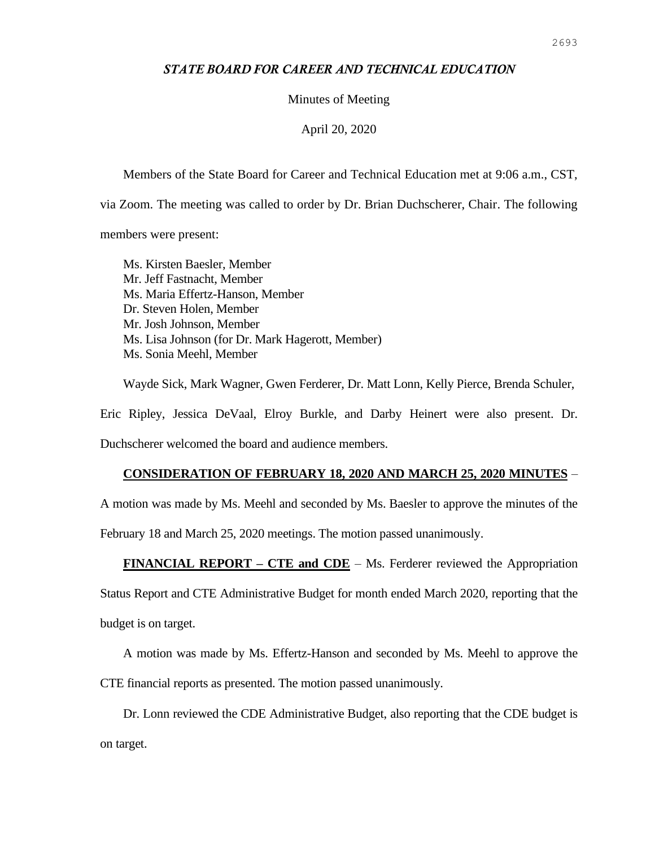## *STATE BOARD FOR CAREER AND TECHNICAL EDUCATION*

#### Minutes of Meeting

#### April 20, 2020

Members of the State Board for Career and Technical Education met at 9:06 a.m., CST,

via Zoom. The meeting was called to order by Dr. Brian Duchscherer, Chair. The following

members were present:

Ms. Kirsten Baesler, Member Mr. Jeff Fastnacht, Member Ms. Maria Effertz-Hanson, Member Dr. Steven Holen, Member Mr. Josh Johnson, Member Ms. Lisa Johnson (for Dr. Mark Hagerott, Member) Ms. Sonia Meehl, Member

Wayde Sick, Mark Wagner, Gwen Ferderer, Dr. Matt Lonn, Kelly Pierce, Brenda Schuler,

Eric Ripley, Jessica DeVaal, Elroy Burkle, and Darby Heinert were also present. Dr. Duchscherer welcomed the board and audience members.

# **CONSIDERATION OF FEBRUARY 18, 2020 AND MARCH 25, 2020 MINUTES** –

A motion was made by Ms. Meehl and seconded by Ms. Baesler to approve the minutes of the

February 18 and March 25, 2020 meetings. The motion passed unanimously.

### **FINANCIAL REPORT – CTE and CDE** – Ms. Ferderer reviewed the Appropriation

Status Report and CTE Administrative Budget for month ended March 2020, reporting that the

budget is on target.

A motion was made by Ms. Effertz-Hanson and seconded by Ms. Meehl to approve the

CTE financial reports as presented. The motion passed unanimously.

Dr. Lonn reviewed the CDE Administrative Budget, also reporting that the CDE budget is on target.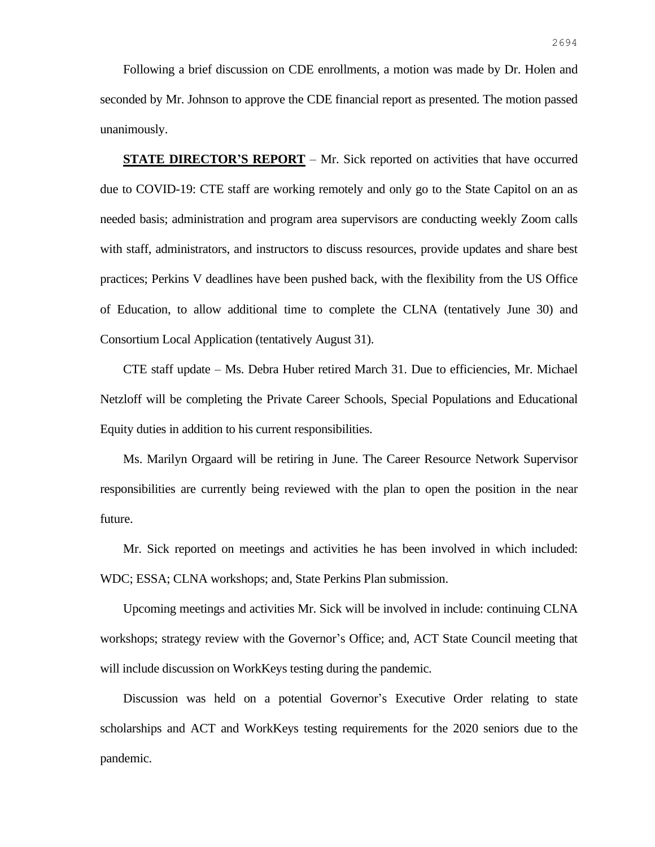Following a brief discussion on CDE enrollments, a motion was made by Dr. Holen and seconded by Mr. Johnson to approve the CDE financial report as presented. The motion passed unanimously.

**STATE DIRECTOR'S REPORT** – Mr. Sick reported on activities that have occurred due to COVID-19: CTE staff are working remotely and only go to the State Capitol on an as needed basis; administration and program area supervisors are conducting weekly Zoom calls with staff, administrators, and instructors to discuss resources, provide updates and share best practices; Perkins V deadlines have been pushed back, with the flexibility from the US Office of Education, to allow additional time to complete the CLNA (tentatively June 30) and Consortium Local Application (tentatively August 31).

CTE staff update – Ms. Debra Huber retired March 31. Due to efficiencies, Mr. Michael Netzloff will be completing the Private Career Schools, Special Populations and Educational Equity duties in addition to his current responsibilities.

Ms. Marilyn Orgaard will be retiring in June. The Career Resource Network Supervisor responsibilities are currently being reviewed with the plan to open the position in the near future.

Mr. Sick reported on meetings and activities he has been involved in which included: WDC; ESSA; CLNA workshops; and, State Perkins Plan submission.

Upcoming meetings and activities Mr. Sick will be involved in include: continuing CLNA workshops; strategy review with the Governor's Office; and, ACT State Council meeting that will include discussion on WorkKeys testing during the pandemic.

Discussion was held on a potential Governor's Executive Order relating to state scholarships and ACT and WorkKeys testing requirements for the 2020 seniors due to the pandemic.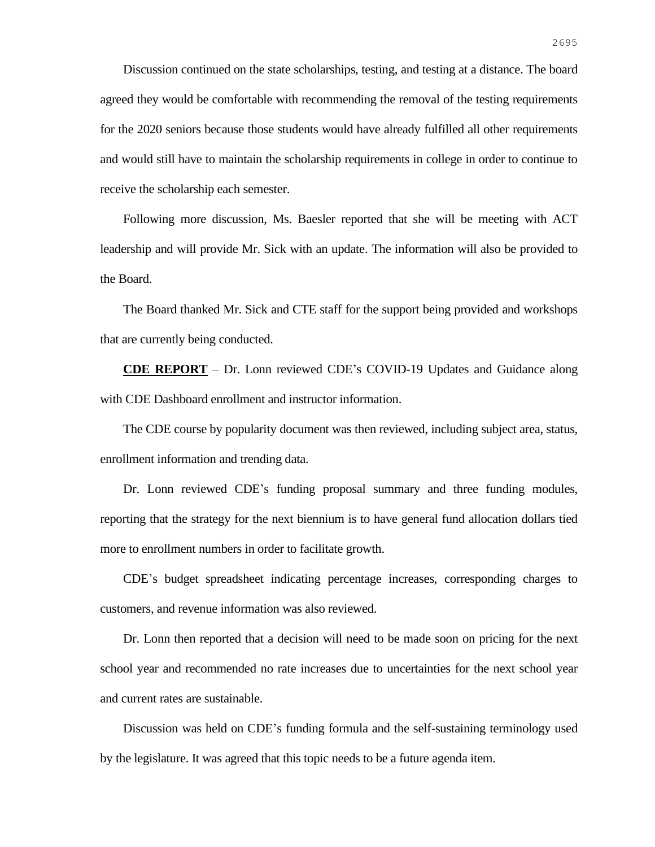Discussion continued on the state scholarships, testing, and testing at a distance. The board agreed they would be comfortable with recommending the removal of the testing requirements for the 2020 seniors because those students would have already fulfilled all other requirements and would still have to maintain the scholarship requirements in college in order to continue to receive the scholarship each semester.

Following more discussion, Ms. Baesler reported that she will be meeting with ACT leadership and will provide Mr. Sick with an update. The information will also be provided to the Board.

The Board thanked Mr. Sick and CTE staff for the support being provided and workshops that are currently being conducted.

**CDE REPORT** – Dr. Lonn reviewed CDE's COVID-19 Updates and Guidance along with CDE Dashboard enrollment and instructor information.

The CDE course by popularity document was then reviewed, including subject area, status, enrollment information and trending data.

Dr. Lonn reviewed CDE's funding proposal summary and three funding modules, reporting that the strategy for the next biennium is to have general fund allocation dollars tied more to enrollment numbers in order to facilitate growth.

CDE's budget spreadsheet indicating percentage increases, corresponding charges to customers, and revenue information was also reviewed.

Dr. Lonn then reported that a decision will need to be made soon on pricing for the next school year and recommended no rate increases due to uncertainties for the next school year and current rates are sustainable.

Discussion was held on CDE's funding formula and the self-sustaining terminology used by the legislature. It was agreed that this topic needs to be a future agenda item.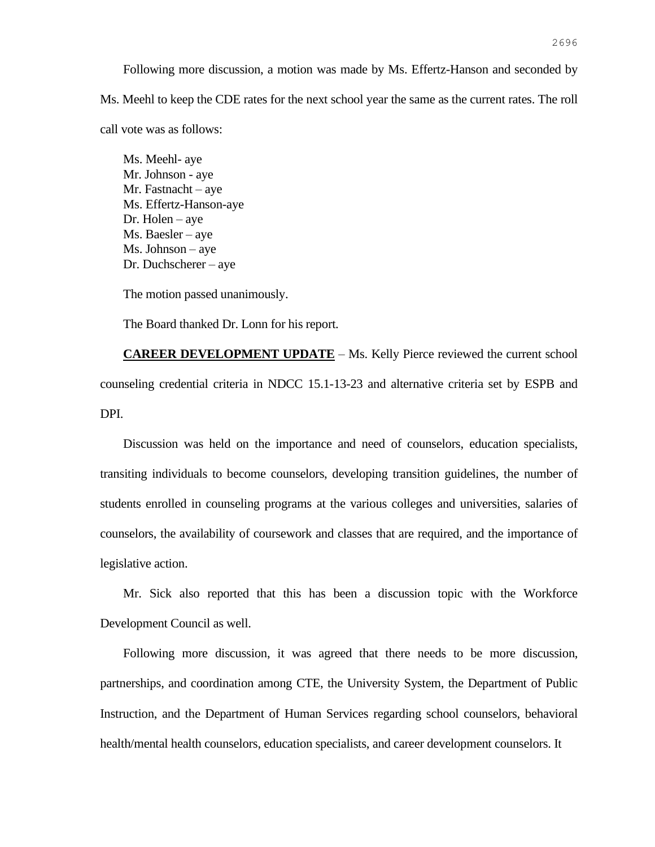Following more discussion, a motion was made by Ms. Effertz-Hanson and seconded by Ms. Meehl to keep the CDE rates for the next school year the same as the current rates. The roll call vote was as follows:

Ms. Meehl- aye Mr. Johnson - aye Mr. Fastnacht – aye Ms. Effertz-Hanson-aye Dr. Holen – aye Ms. Baesler – aye Ms. Johnson – aye Dr. Duchscherer – aye

The motion passed unanimously.

The Board thanked Dr. Lonn for his report.

**CAREER DEVELOPMENT UPDATE** – Ms. Kelly Pierce reviewed the current school counseling credential criteria in NDCC 15.1-13-23 and alternative criteria set by ESPB and DPI.

Discussion was held on the importance and need of counselors, education specialists, transiting individuals to become counselors, developing transition guidelines, the number of students enrolled in counseling programs at the various colleges and universities, salaries of counselors, the availability of coursework and classes that are required, and the importance of legislative action.

Mr. Sick also reported that this has been a discussion topic with the Workforce Development Council as well.

Following more discussion, it was agreed that there needs to be more discussion, partnerships, and coordination among CTE, the University System, the Department of Public Instruction, and the Department of Human Services regarding school counselors, behavioral health/mental health counselors, education specialists, and career development counselors. It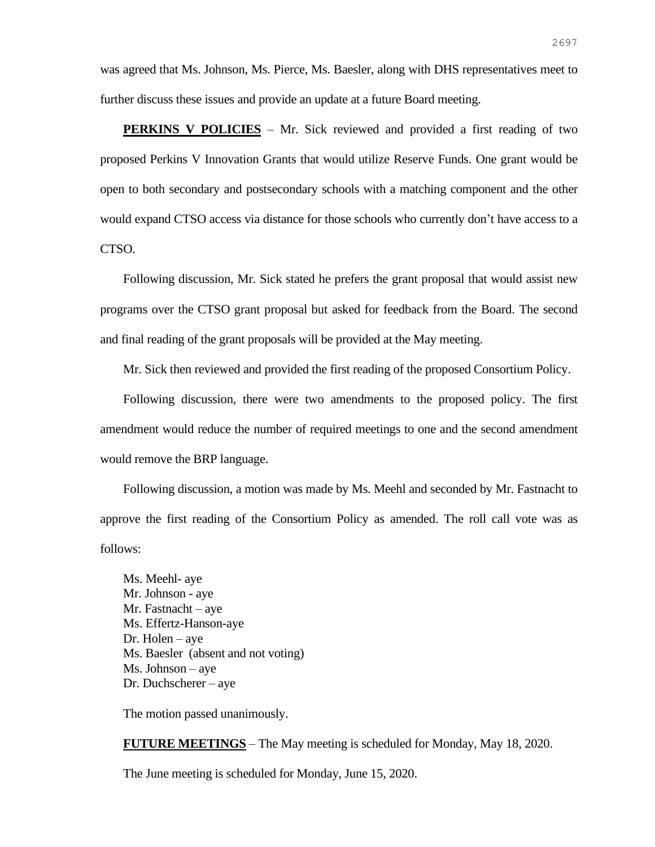was agreed that Ms. Johnson, Ms. Pierce, Ms. Baesler, along with DHS representatives meet to further discuss these issues and provide an update at a future Board meeting.

**PERKINS V POLICIES** – Mr. Sick reviewed and provided a first reading of two proposed Perkins V Innovation Grants that would utilize Reserve Funds. One grant would be open to both secondary and postsecondary schools with a matching component and the other would expand CTSO access via distance for those schools who currently don't have access to a CTSO.

Following discussion, Mr. Sick stated he prefers the grant proposal that would assist new programs over the CTSO grant proposal but asked for feedback from the Board. The second and final reading of the grant proposals will be provided at the May meeting.

Mr. Sick then reviewed and provided the first reading of the proposed Consortium Policy.

Following discussion, there were two amendments to the proposed policy. The first amendment would reduce the number of required meetings to one and the second amendment would remove the BRP language.

Following discussion, a motion was made by Ms. Meehl and seconded by Mr. Fastnacht to approve the first reading of the Consortium Policy as amended. The roll call vote was as follows:

Ms. Meehl- aye Mr. Johnson - aye Mr. Fastnacht – aye Ms. Effertz-Hanson-aye Dr. Holen – aye Ms. Baesler (absent and not voting) Ms. Johnson – aye Dr. Duchscherer – aye

The motion passed unanimously.

**FUTURE MEETINGS** – The May meeting is scheduled for Monday, May 18, 2020.

The June meeting is scheduled for Monday, June 15, 2020.